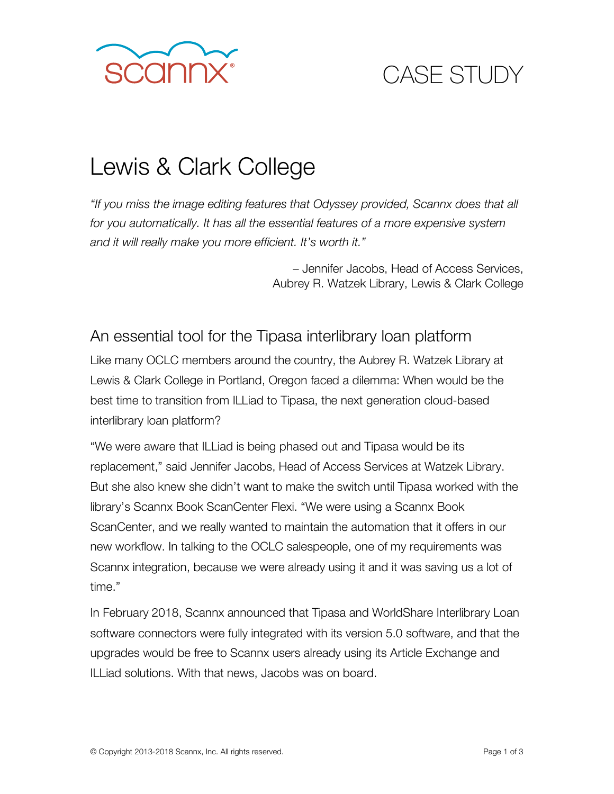

# CASE STUDY

## Lewis & Clark College

*"If you miss the image editing features that Odyssey provided, Scannx does that all for you automatically. It has all the essential features of a more expensive system and it will really make you more efficient. It's worth it."*

> – Jennifer Jacobs, Head of Access Services, Aubrey R. Watzek Library, Lewis & Clark College

### An essential tool for the Tipasa interlibrary loan platform

Like many OCLC members around the country, the Aubrey R. Watzek Library at Lewis & Clark College in Portland, Oregon faced a dilemma: When would be the best time to transition from ILLiad to Tipasa, the next generation cloud-based interlibrary loan platform?

"We were aware that ILLiad is being phased out and Tipasa would be its replacement," said Jennifer Jacobs, Head of Access Services at Watzek Library. But she also knew she didn't want to make the switch until Tipasa worked with the library's Scannx Book ScanCenter Flexi. "We were using a Scannx Book ScanCenter, and we really wanted to maintain the automation that it offers in our new workflow. In talking to the OCLC salespeople, one of my requirements was Scannx integration, because we were already using it and it was saving us a lot of time."

In February 2018, Scannx announced that Tipasa and WorldShare Interlibrary Loan software connectors were fully integrated with its version 5.0 software, and that the upgrades would be free to Scannx users already using its Article Exchange and ILLiad solutions. With that news, Jacobs was on board.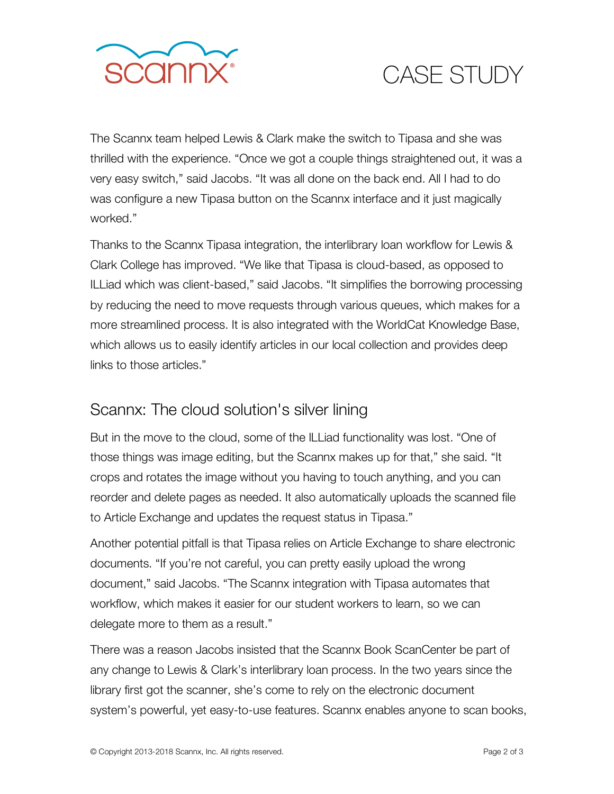

# CASE STUDY

The Scannx team helped Lewis & Clark make the switch to Tipasa and she was thrilled with the experience. "Once we got a couple things straightened out, it was a very easy switch," said Jacobs. "It was all done on the back end. All I had to do was configure a new Tipasa button on the Scannx interface and it just magically worked."

Thanks to the Scannx Tipasa integration, the interlibrary loan workflow for Lewis & Clark College has improved. "We like that Tipasa is cloud-based, as opposed to ILLiad which was client-based," said Jacobs. "It simplifies the borrowing processing by reducing the need to move requests through various queues, which makes for a more streamlined process. It is also integrated with the WorldCat Knowledge Base, which allows us to easily identify articles in our local collection and provides deep links to those articles."

### Scannx: The cloud solution's silver lining

But in the move to the cloud, some of the ILLiad functionality was lost. "One of those things was image editing, but the Scannx makes up for that," she said. "It crops and rotates the image without you having to touch anything, and you can reorder and delete pages as needed. It also automatically uploads the scanned file to Article Exchange and updates the request status in Tipasa."

Another potential pitfall is that Tipasa relies on Article Exchange to share electronic documents. "If you're not careful, you can pretty easily upload the wrong document," said Jacobs. "The Scannx integration with Tipasa automates that workflow, which makes it easier for our student workers to learn, so we can delegate more to them as a result."

There was a reason Jacobs insisted that the Scannx Book ScanCenter be part of any change to Lewis & Clark's interlibrary loan process. In the two years since the library first got the scanner, she's come to rely on the electronic document system's powerful, yet easy-to-use features. Scannx enables anyone to scan books,